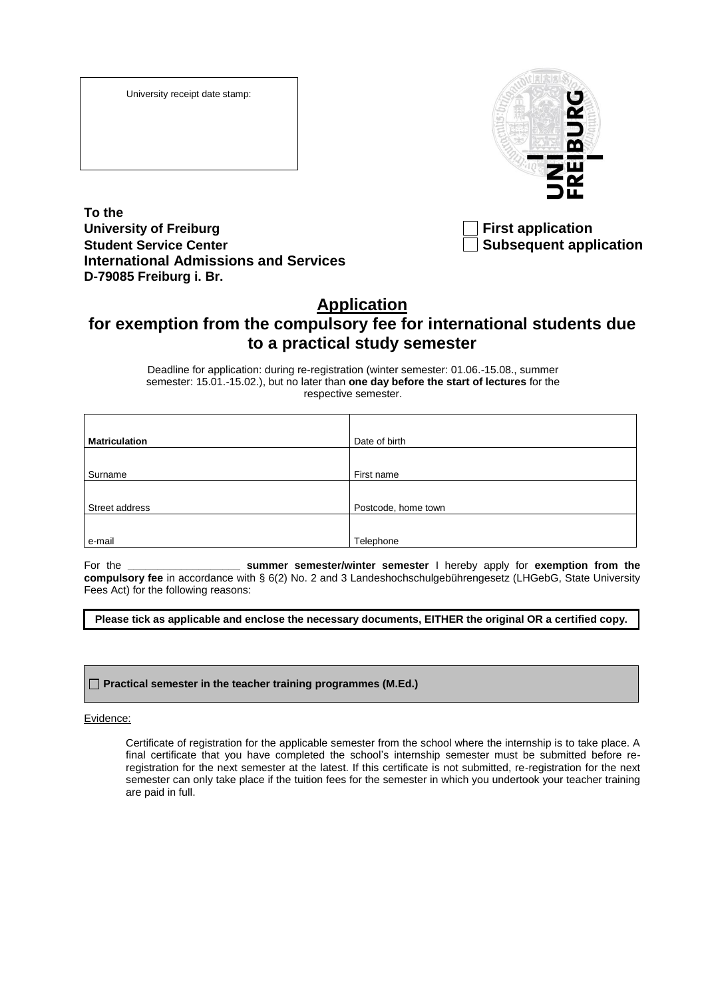University receipt date stamp:



**To the** University of Freiburg **First application Student Service Center Subsequent application International Admissions and Services D-79085 Freiburg i. Br.**

## **Application**

## **for exemption from the compulsory fee for international students due to a practical study semester**

Deadline for application: during re-registration (winter semester: 01.06.-15.08., summer semester: 15.01.-15.02.), but no later than **one day before the start of lectures** for the respective semester.

| <b>Matriculation</b> | Date of birth       |
|----------------------|---------------------|
|                      |                     |
| Surname              | First name          |
|                      |                     |
| Street address       | Postcode, home town |
|                      |                     |
| e-mail               | Telephone           |

For the **\_\_\_\_\_\_\_\_\_\_\_\_\_\_\_\_\_\_\_ summer semester/winter semester** I hereby apply for **exemption from the compulsory fee** in accordance with § 6(2) No. 2 and 3 Landeshochschulgebührengesetz (LHGebG, State University Fees Act) for the following reasons:

**Please tick as applicable and enclose the necessary documents, EITHER the original OR a certified copy.**

## **Practical semester in the teacher training programmes (M.Ed.)**

Evidence:

Certificate of registration for the applicable semester from the school where the internship is to take place. A final certificate that you have completed the school's internship semester must be submitted before reregistration for the next semester at the latest. If this certificate is not submitted, re-registration for the next semester can only take place if the tuition fees for the semester in which you undertook your teacher training are paid in full.